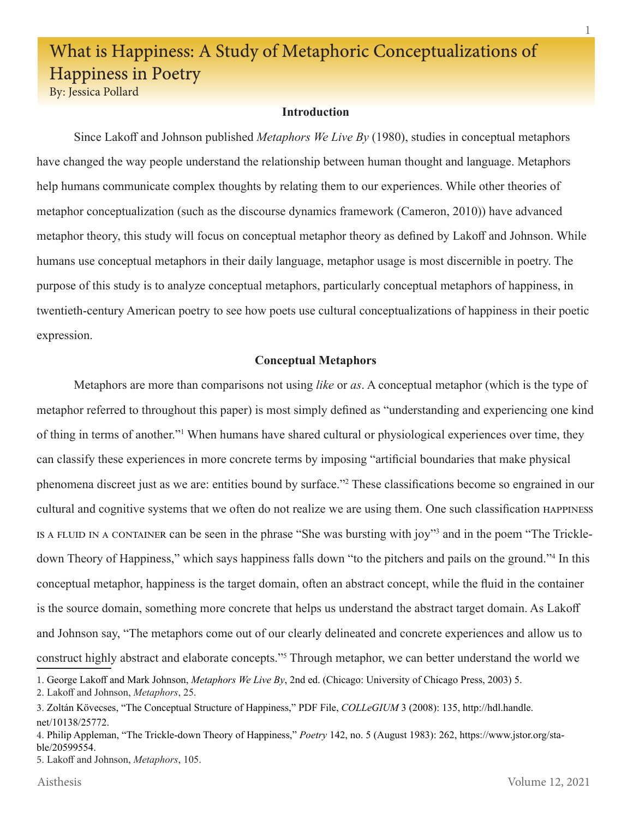# What is Happiness: A Study of Metaphoric Conceptualizations of Happiness in Poetry

By: Jessica Pollard

## **Introduction**

 Since Lakoff and Johnson published *Metaphors We Live By* (1980), studies in conceptual metaphors have changed the way people understand the relationship between human thought and language. Metaphors help humans communicate complex thoughts by relating them to our experiences. While other theories of metaphor conceptualization (such as the discourse dynamics framework (Cameron, 2010)) have advanced metaphor theory, this study will focus on conceptual metaphor theory as defined by Lakoff and Johnson. While humans use conceptual metaphors in their daily language, metaphor usage is most discernible in poetry. The purpose of this study is to analyze conceptual metaphors, particularly conceptual metaphors of happiness, in twentieth-century American poetry to see how poets use cultural conceptualizations of happiness in their poetic expression.

# **Conceptual Metaphors**

 Metaphors are more than comparisons not using *like* or *as*. A conceptual metaphor (which is the type of metaphor referred to throughout this paper) is most simply defined as "understanding and experiencing one kind of thing in terms of another."<sup>1</sup> When humans have shared cultural or physiological experiences over time, they can classify these experiences in more concrete terms by imposing "artificial boundaries that make physical phenomena discreet just as we are: entities bound by surface."2 These classifications become so engrained in our cultural and cognitive systems that we often do not realize we are using them. One such classification happiness IS A FLUID IN A CONTAINER can be seen in the phrase "She was bursting with joy"<sup>3</sup> and in the poem "The Trickledown Theory of Happiness," which says happiness falls down "to the pitchers and pails on the ground."<sup>4</sup> In this conceptual metaphor, happiness is the target domain, often an abstract concept, while the fluid in the container is the source domain, something more concrete that helps us understand the abstract target domain. As Lakoff and Johnson say, "The metaphors come out of our clearly delineated and concrete experiences and allow us to construct highly abstract and elaborate concepts."<sup>5</sup> Through metaphor, we can better understand the world we

1. George Lakoff and Mark Johnson, *Metaphors We Live By*, 2nd ed. (Chicago: University of Chicago Press, 2003) 5.

5. Lakoff and Johnson, *Metaphors*, 105.

<sup>2</sup>. Lakoff and Johnson, *Metaphors*, 25.

<sup>3</sup>. Zoltán Kövecses, "The Conceptual Structure of Happiness," PDF File, *COLLeGIUM* 3 (2008): 135, http://hdl.handle. net/10138/25772.

<sup>4</sup>. Philip Appleman, "The Trickle-down Theory of Happiness," *Poetry* 142, no. 5 (August 1983): 262, https://www.jstor.org/stable/20599554.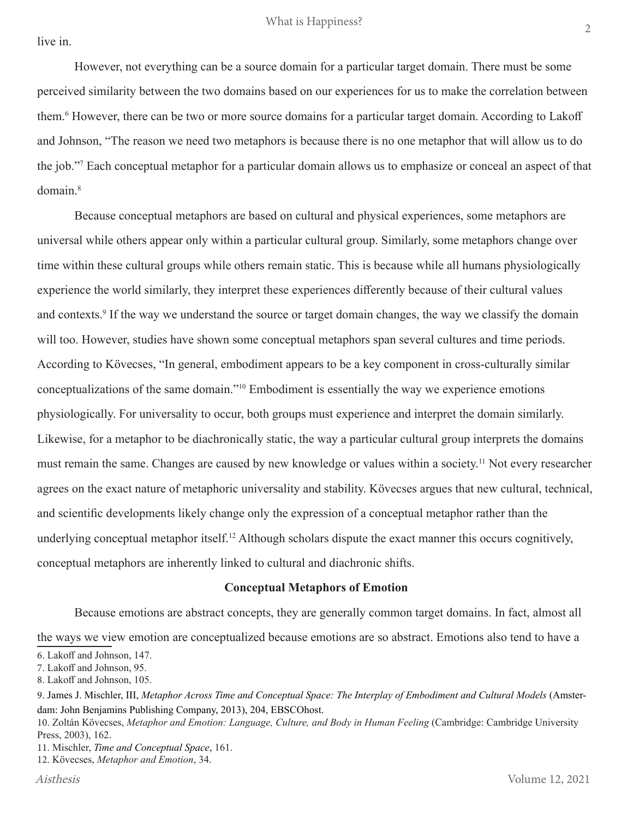live in.

However, not everything can be a source domain for a particular target domain. There must be some perceived similarity between the two domains based on our experiences for us to make the correlation between them.6 However, there can be two or more source domains for a particular target domain. According to Lakoff and Johnson, "The reason we need two metaphors is because there is no one metaphor that will allow us to do the job."7 Each conceptual metaphor for a particular domain allows us to emphasize or conceal an aspect of that domain.<sup>8</sup>

Because conceptual metaphors are based on cultural and physical experiences, some metaphors are universal while others appear only within a particular cultural group. Similarly, some metaphors change over time within these cultural groups while others remain static. This is because while all humans physiologically experience the world similarly, they interpret these experiences differently because of their cultural values and contexts.<sup>9</sup> If the way we understand the source or target domain changes, the way we classify the domain will too. However, studies have shown some conceptual metaphors span several cultures and time periods. According to Kövecses, "In general, embodiment appears to be a key component in cross-culturally similar conceptualizations of the same domain."<sup>10</sup> Embodiment is essentially the way we experience emotions physiologically. For universality to occur, both groups must experience and interpret the domain similarly. Likewise, for a metaphor to be diachronically static, the way a particular cultural group interprets the domains must remain the same. Changes are caused by new knowledge or values within a society.<sup>11</sup> Not every researcher agrees on the exact nature of metaphoric universality and stability. Kövecses argues that new cultural, technical, and scientific developments likely change only the expression of a conceptual metaphor rather than the underlying conceptual metaphor itself.<sup>12</sup> Although scholars dispute the exact manner this occurs cognitively, conceptual metaphors are inherently linked to cultural and diachronic shifts.

## **Conceptual Metaphors of Emotion**

 Because emotions are abstract concepts, they are generally common target domains. In fact, almost all the ways we view emotion are conceptualized because emotions are so abstract. Emotions also tend to have a

12. Kövecses, *Metaphor and Emotion*, 34.

<sup>6</sup>. Lakoff and Johnson, 147.

<sup>7</sup>. Lakoff and Johnson, 95.

<sup>8</sup>. Lakoff and Johnson, 105.

<sup>9</sup>. James J. Mischler, III, *Metaphor Across Time and Conceptual Space: The Interplay of Embodiment and Cultural Models* (Amsterdam: John Benjamins Publishing Company, 2013), 204, EBSCOhost.

<sup>10</sup>. Zoltán Kövecses, *Metaphor and Emotion: Language, Culture, and Body in Human Feeling* (Cambridge: Cambridge University Press, 2003), 162.

<sup>11</sup>. Mischler, *Time and Conceptual Space*, 161.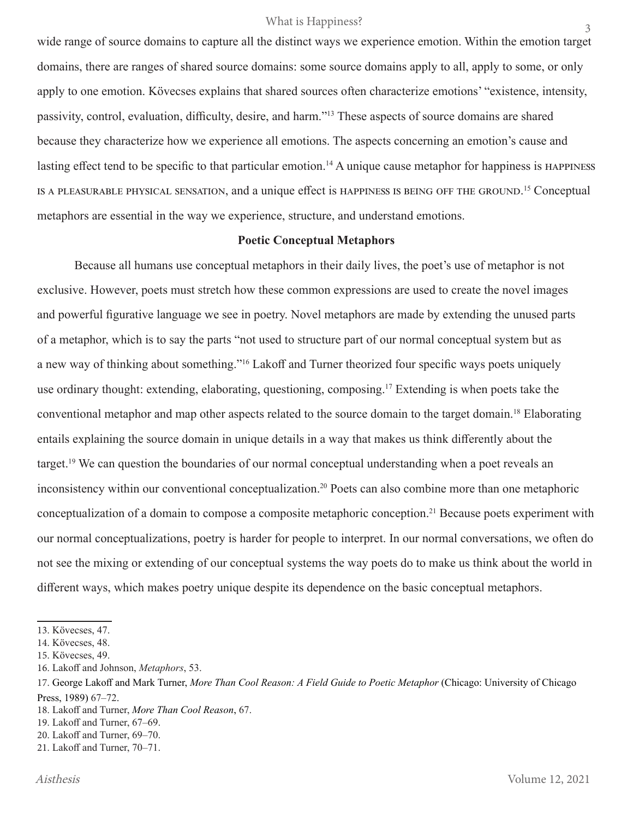#### What is Happiness?

wide range of source domains to capture all the distinct ways we experience emotion. Within the emotion target domains, there are ranges of shared source domains: some source domains apply to all, apply to some, or only apply to one emotion. Kövecses explains that shared sources often characterize emotions' "existence, intensity, passivity, control, evaluation, difficulty, desire, and harm."<sup>13</sup> These aspects of source domains are shared because they characterize how we experience all emotions. The aspects concerning an emotion's cause and lasting effect tend to be specific to that particular emotion.<sup>14</sup> A unique cause metaphor for happiness is HAPPINESS is a pleasurable physical sensation, and a unique effect is happiness is being off the ground. <sup>15</sup> Conceptual metaphors are essential in the way we experience, structure, and understand emotions.

#### **Poetic Conceptual Metaphors**

 Because all humans use conceptual metaphors in their daily lives, the poet's use of metaphor is not exclusive. However, poets must stretch how these common expressions are used to create the novel images and powerful figurative language we see in poetry. Novel metaphors are made by extending the unused parts of a metaphor, which is to say the parts "not used to structure part of our normal conceptual system but as a new way of thinking about something."16 Lakoff and Turner theorized four specific ways poets uniquely use ordinary thought: extending, elaborating, questioning, composing.<sup>17</sup> Extending is when poets take the conventional metaphor and map other aspects related to the source domain to the target domain.<sup>18</sup> Elaborating entails explaining the source domain in unique details in a way that makes us think differently about the target.<sup>19</sup> We can question the boundaries of our normal conceptual understanding when a poet reveals an inconsistency within our conventional conceptualization.<sup>20</sup> Poets can also combine more than one metaphoric conceptualization of a domain to compose a composite metaphoric conception.21 Because poets experiment with our normal conceptualizations, poetry is harder for people to interpret. In our normal conversations, we often do not see the mixing or extending of our conceptual systems the way poets do to make us think about the world in different ways, which makes poetry unique despite its dependence on the basic conceptual metaphors.

<sup>13</sup>. Kövecses, 47.

<sup>14</sup>. Kövecses, 48.

<sup>15</sup>. Kövecses, 49.

<sup>16</sup>. Lakoff and Johnson, *Metaphors*, 53.

<sup>17</sup>. George Lakoff and Mark Turner, *More Than Cool Reason: A Field Guide to Poetic Metaphor* (Chicago: University of Chicago Press, 1989) 67–72.

<sup>18</sup>. Lakoff and Turner, *More Than Cool Reason*, 67.

<sup>19</sup>. Lakoff and Turner, 67–69.

<sup>20</sup>. Lakoff and Turner, 69–70.

<sup>21</sup>. Lakoff and Turner, 70–71.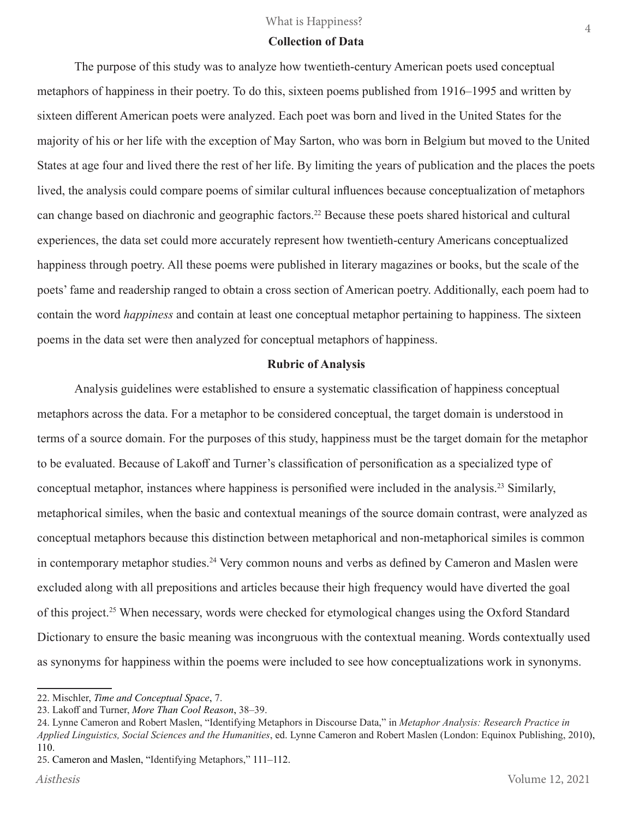#### **Collection of Data**

 The purpose of this study was to analyze how twentieth-century American poets used conceptual metaphors of happiness in their poetry. To do this, sixteen poems published from 1916–1995 and written by sixteen different American poets were analyzed. Each poet was born and lived in the United States for the majority of his or her life with the exception of May Sarton, who was born in Belgium but moved to the United States at age four and lived there the rest of her life. By limiting the years of publication and the places the poets lived, the analysis could compare poems of similar cultural influences because conceptualization of metaphors can change based on diachronic and geographic factors.<sup>22</sup> Because these poets shared historical and cultural experiences, the data set could more accurately represent how twentieth-century Americans conceptualized happiness through poetry. All these poems were published in literary magazines or books, but the scale of the poets' fame and readership ranged to obtain a cross section of American poetry. Additionally, each poem had to contain the word *happiness* and contain at least one conceptual metaphor pertaining to happiness. The sixteen poems in the data set were then analyzed for conceptual metaphors of happiness.

## **Rubric of Analysis**

 Analysis guidelines were established to ensure a systematic classification of happiness conceptual metaphors across the data. For a metaphor to be considered conceptual, the target domain is understood in terms of a source domain. For the purposes of this study, happiness must be the target domain for the metaphor to be evaluated. Because of Lakoff and Turner's classification of personification as a specialized type of conceptual metaphor, instances where happiness is personified were included in the analysis.23 Similarly, metaphorical similes, when the basic and contextual meanings of the source domain contrast, were analyzed as conceptual metaphors because this distinction between metaphorical and non-metaphorical similes is common in contemporary metaphor studies.<sup>24</sup> Very common nouns and verbs as defined by Cameron and Maslen were excluded along with all prepositions and articles because their high frequency would have diverted the goal of this project.25 When necessary, words were checked for etymological changes using the Oxford Standard Dictionary to ensure the basic meaning was incongruous with the contextual meaning. Words contextually used as synonyms for happiness within the poems were included to see how conceptualizations work in synonyms.

<sup>22</sup>. Mischler, *Time and Conceptual Space*, 7.

<sup>23</sup>. Lakoff and Turner, *More Than Cool Reason*, 38–39.

<sup>24</sup>. Lynne Cameron and Robert Maslen, "Identifying Metaphors in Discourse Data," in *Metaphor Analysis: Research Practice in Applied Linguistics, Social Sciences and the Humanities*, ed. Lynne Cameron and Robert Maslen (London: Equinox Publishing, 2010), 110.

<sup>25</sup>. Cameron and Maslen, "Identifying Metaphors," 111–112.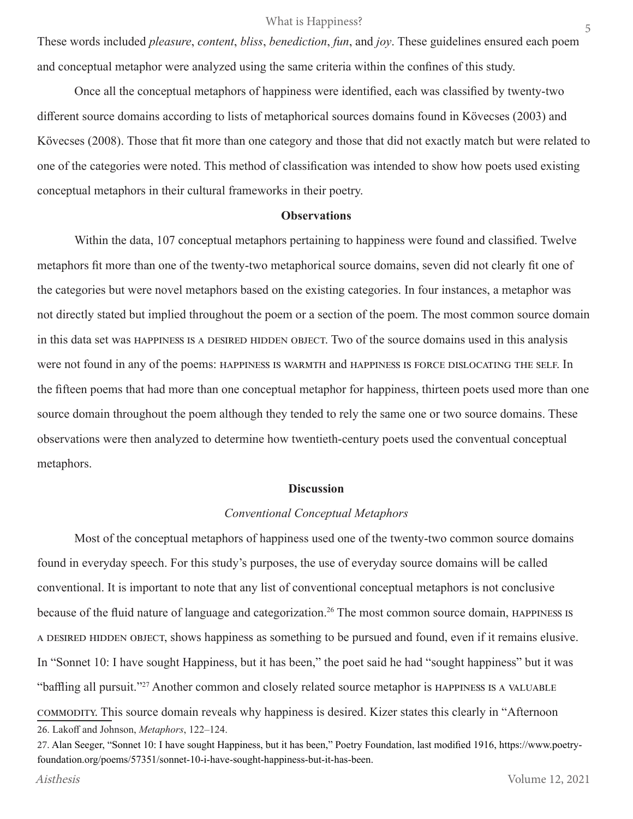These words included *pleasure*, *content*, *bliss*, *benediction*, *fun*, and *joy*. These guidelines ensured each poem and conceptual metaphor were analyzed using the same criteria within the confines of this study.

 Once all the conceptual metaphors of happiness were identified, each was classified by twenty-two different source domains according to lists of metaphorical sources domains found in Kövecses (2003) and Kövecses (2008). Those that fit more than one category and those that did not exactly match but were related to one of the categories were noted. This method of classification was intended to show how poets used existing conceptual metaphors in their cultural frameworks in their poetry.

#### **Observations**

 Within the data, 107 conceptual metaphors pertaining to happiness were found and classified. Twelve metaphors fit more than one of the twenty-two metaphorical source domains, seven did not clearly fit one of the categories but were novel metaphors based on the existing categories. In four instances, a metaphor was not directly stated but implied throughout the poem or a section of the poem. The most common source domain in this data set was HAPPINESS IS A DESIRED HIDDEN OBJECT. Two of the source domains used in this analysis were not found in any of the poems: happiness is warmth and happiness is force dislocating the self. In the fifteen poems that had more than one conceptual metaphor for happiness, thirteen poets used more than one source domain throughout the poem although they tended to rely the same one or two source domains. These observations were then analyzed to determine how twentieth-century poets used the conventual conceptual metaphors.

#### **Discussion**

#### *Conventional Conceptual Metaphors*

Most of the conceptual metaphors of happiness used one of the twenty-two common source domains found in everyday speech. For this study's purposes, the use of everyday source domains will be called conventional. It is important to note that any list of conventional conceptual metaphors is not conclusive because of the fluid nature of language and categorization.<sup>26</sup> The most common source domain, HAPPINESS IS a desired hidden object, shows happiness as something to be pursued and found, even if it remains elusive. In "Sonnet 10: I have sought Happiness, but it has been," the poet said he had "sought happiness" but it was "baffling all pursuit."<sup>27</sup> Another common and closely related source metaphor is HAPPINESS IS A VALUABLE commodity. This source domain reveals why happiness is desired. Kizer states this clearly in "Afternoon 26. Lakoff and Johnson, *Metaphors*, 122–124.

<sup>27.</sup> Alan Seeger, "Sonnet 10: I have sought Happiness, but it has been," Poetry Foundation, last modified 1916, https://www.poetryfoundation.org/poems/57351/sonnet-10-i-have-sought-happiness-but-it-has-been.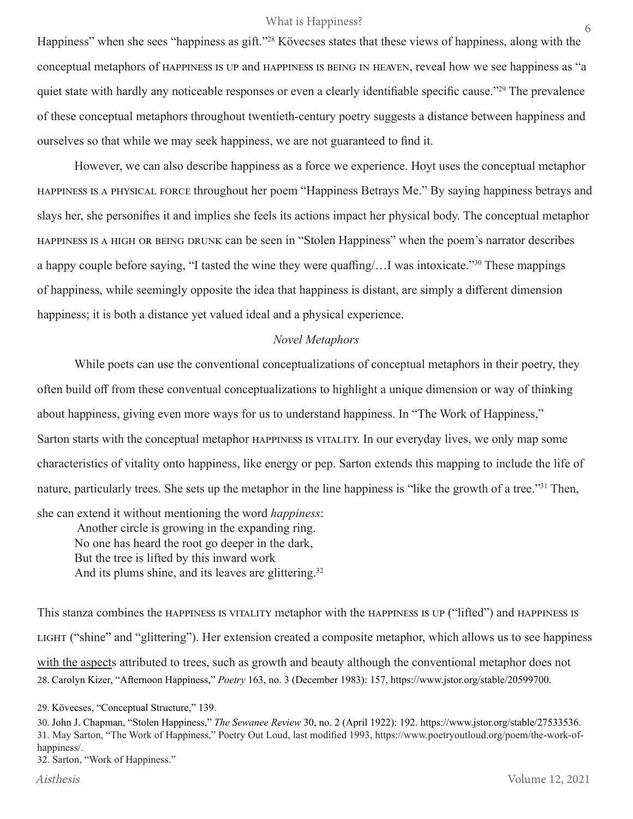#### What is Happiness?

Happiness" when she sees "happiness as gift."28 Kövecses states that these views of happiness, along with the conceptual metaphors of happiness is up and happiness is being in heaven, reveal how we see happiness as "a quiet state with hardly any noticeable responses or even a clearly identifiable specific cause."<sup>29</sup> The prevalence of these conceptual metaphors throughout twentieth-century poetry suggests a distance between happiness and ourselves so that while we may seek happiness, we are not guaranteed to find it.

However, we can also describe happiness as a force we experience. Hoyt uses the conceptual metaphor happiness is a physical force throughout her poem "Happiness Betrays Me." By saying happiness betrays and slays her, she personifies it and implies she feels its actions impact her physical body. The conceptual metaphor happiness is a high or being drunk can be seen in "Stolen Happiness" when the poem's narrator describes a happy couple before saying, "I tasted the wine they were quaffing/…I was intoxicate."<sup>30</sup> These mappings of happiness, while seemingly opposite the idea that happiness is distant, are simply a different dimension happiness; it is both a distance yet valued ideal and a physical experience.

## *Novel Metaphors*

While poets can use the conventional conceptualizations of conceptual metaphors in their poetry, they often build off from these conventual conceptualizations to highlight a unique dimension or way of thinking about happiness, giving even more ways for us to understand happiness. In "The Work of Happiness," Sarton starts with the conceptual metaphor happiness is vitality. In our everyday lives, we only map some characteristics of vitality onto happiness, like energy or pep. Sarton extends this mapping to include the life of nature, particularly trees. She sets up the metaphor in the line happiness is "like the growth of a tree."<sup>31</sup> Then,

she can extend it without mentioning the word *happiness*: Another circle is growing in the expanding ring. No one has heard the root go deeper in the dark, But the tree is lifted by this inward work And its plums shine, and its leaves are glittering.<sup>32</sup>

This stanza combines the HAPPINESS IS VITALITY metaphor with the HAPPINESS IS UP ("lifted") and HAPPINESS IS light ("shine" and "glittering"). Her extension created a composite metaphor, which allows us to see happiness with the aspects attributed to trees, such as growth and beauty although the conventional metaphor does not 28. Carolyn Kizer, "Afternoon Happiness," *Poetry* 163, no. 3 (December 1983): 157, https://www.jstor.org/stable/20599700.

32. Sarton, "Work of Happiness."

<sup>29.</sup> Kövecses, "Conceptual Structure," 139.

<sup>30.</sup> John J. Chapman, "Stolen Happiness," *The Sewanee Review* 30, no. 2 (April 1922): 192. https://www.jstor.org/stable/27533536. 31. May Sarton, "The Work of Happiness," Poetry Out Loud, last modified 1993, https://www.poetryoutloud.org/poem/the-work-ofhappiness/.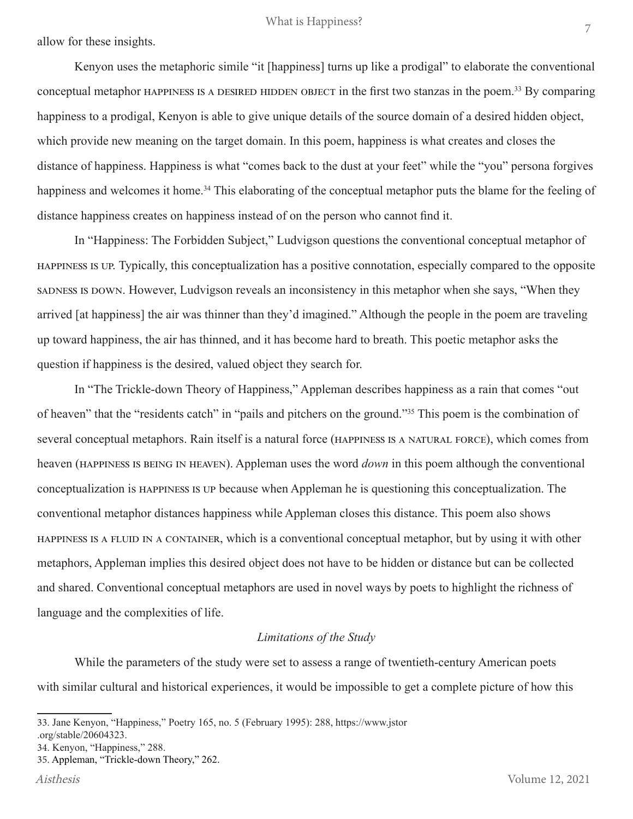allow for these insights.

Kenyon uses the metaphoric simile "it [happiness] turns up like a prodigal" to elaborate the conventional conceptual metaphor HAPPINESS IS A DESIRED HIDDEN OBJECT in the first two stanzas in the poem.<sup>33</sup> By comparing happiness to a prodigal, Kenyon is able to give unique details of the source domain of a desired hidden object, which provide new meaning on the target domain. In this poem, happiness is what creates and closes the distance of happiness. Happiness is what "comes back to the dust at your feet" while the "you" persona forgives happiness and welcomes it home.<sup>34</sup> This elaborating of the conceptual metaphor puts the blame for the feeling of distance happiness creates on happiness instead of on the person who cannot find it.

In "Happiness: The Forbidden Subject," Ludvigson questions the conventional conceptual metaphor of happiness is up. Typically, this conceptualization has a positive connotation, especially compared to the opposite sadness is down. However, Ludvigson reveals an inconsistency in this metaphor when she says, "When they arrived [at happiness] the air was thinner than they'd imagined." Although the people in the poem are traveling up toward happiness, the air has thinned, and it has become hard to breath. This poetic metaphor asks the question if happiness is the desired, valued object they search for.

In "The Trickle-down Theory of Happiness," Appleman describes happiness as a rain that comes "out of heaven" that the "residents catch" in "pails and pitchers on the ground."<sup>35</sup> This poem is the combination of several conceptual metaphors. Rain itself is a natural force (happiness is a natural force), which comes from heaven (happiness is being in heaven). Appleman uses the word *down* in this poem although the conventional conceptualization is happiness is up because when Appleman he is questioning this conceptualization. The conventional metaphor distances happiness while Appleman closes this distance. This poem also shows happiness is a fluid in a container, which is a conventional conceptual metaphor, but by using it with other metaphors, Appleman implies this desired object does not have to be hidden or distance but can be collected and shared. Conventional conceptual metaphors are used in novel ways by poets to highlight the richness of language and the complexities of life.

# *Limitations of the Study*

While the parameters of the study were set to assess a range of twentieth-century American poets with similar cultural and historical experiences, it would be impossible to get a complete picture of how this

<sup>33</sup>. Jane Kenyon, "Happiness," Poetry 165, no. 5 (February 1995): 288, https://www.jstor

<sup>.</sup>org/stable/20604323.

<sup>34</sup>. Kenyon, "Happiness," 288.

<sup>35</sup>. Appleman, "Trickle-down Theory," 262.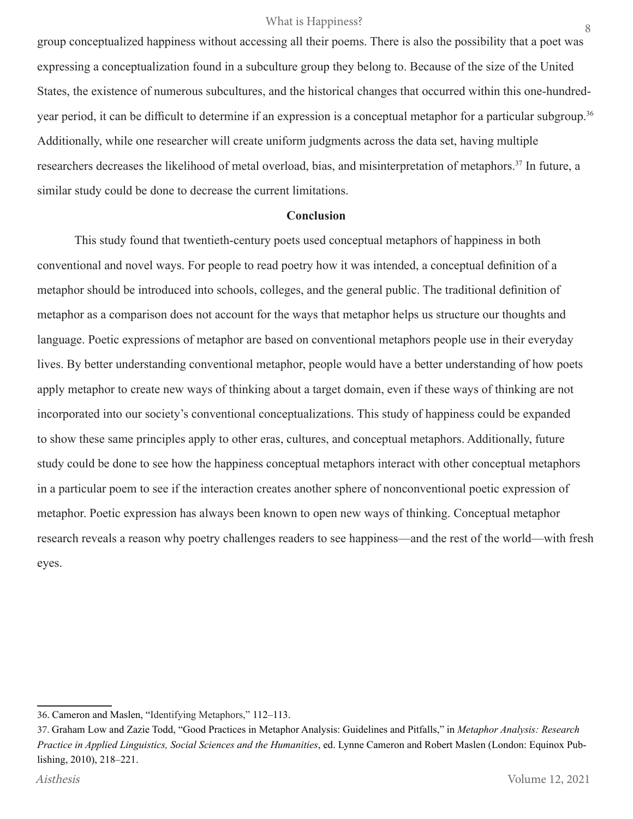group conceptualized happiness without accessing all their poems. There is also the possibility that a poet was expressing a conceptualization found in a subculture group they belong to. Because of the size of the United States, the existence of numerous subcultures, and the historical changes that occurred within this one-hundredyear period, it can be difficult to determine if an expression is a conceptual metaphor for a particular subgroup.<sup>36</sup> Additionally, while one researcher will create uniform judgments across the data set, having multiple researchers decreases the likelihood of metal overload, bias, and misinterpretation of metaphors.37 In future, a similar study could be done to decrease the current limitations.

## **Conclusion**

 This study found that twentieth-century poets used conceptual metaphors of happiness in both conventional and novel ways. For people to read poetry how it was intended, a conceptual definition of a metaphor should be introduced into schools, colleges, and the general public. The traditional definition of metaphor as a comparison does not account for the ways that metaphor helps us structure our thoughts and language. Poetic expressions of metaphor are based on conventional metaphors people use in their everyday lives. By better understanding conventional metaphor, people would have a better understanding of how poets apply metaphor to create new ways of thinking about a target domain, even if these ways of thinking are not incorporated into our society's conventional conceptualizations. This study of happiness could be expanded to show these same principles apply to other eras, cultures, and conceptual metaphors. Additionally, future study could be done to see how the happiness conceptual metaphors interact with other conceptual metaphors in a particular poem to see if the interaction creates another sphere of nonconventional poetic expression of metaphor. Poetic expression has always been known to open new ways of thinking. Conceptual metaphor research reveals a reason why poetry challenges readers to see happiness—and the rest of the world—with fresh eyes.

<sup>36</sup>. Cameron and Maslen, "Identifying Metaphors," 112–113.

<sup>37.</sup> Graham Low and Zazie Todd, "Good Practices in Metaphor Analysis: Guidelines and Pitfalls," in *Metaphor Analysis: Research Practice in Applied Linguistics, Social Sciences and the Humanities*, ed. Lynne Cameron and Robert Maslen (London: Equinox Publishing, 2010), 218–221.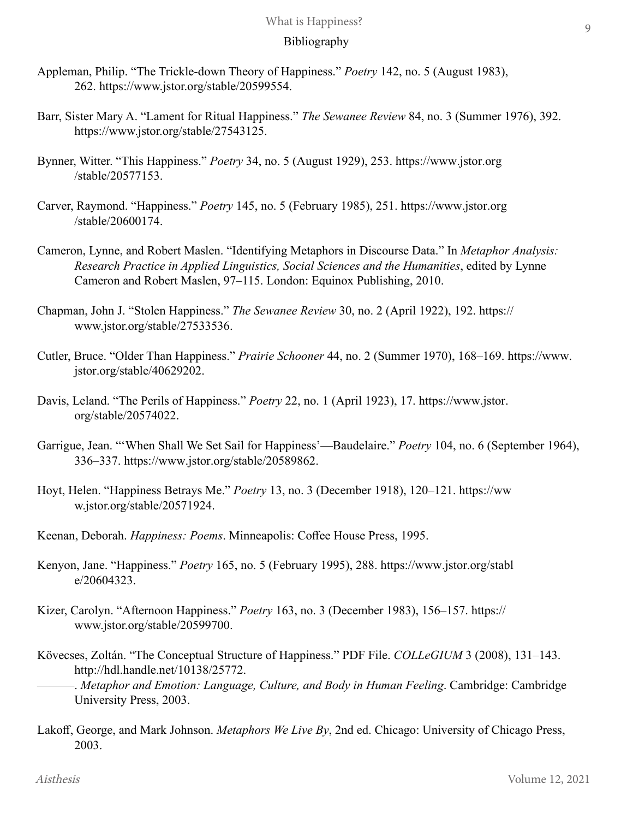# Bibliography

- Appleman, Philip. "The Trickle-down Theory of Happiness." *Poetry* 142, no. 5 (August 1983), 262. https://www.jstor.org/stable/20599554.
- Barr, Sister Mary A. "Lament for Ritual Happiness." *The Sewanee Review* 84, no. 3 (Summer 1976), 392. https://www.jstor.org/stable/27543125.
- Bynner, Witter. "This Happiness." *Poetry* 34, no. 5 (August 1929), 253. https://www.jstor.org /stable/20577153.
- Carver, Raymond. "Happiness." *Poetry* 145, no. 5 (February 1985), 251. https://www.jstor.org /stable/20600174.
- Cameron, Lynne, and Robert Maslen. "Identifying Metaphors in Discourse Data." In *Metaphor Analysis: Research Practice in Applied Linguistics, Social Sciences and the Humanities*, edited by Lynne Cameron and Robert Maslen, 97–115. London: Equinox Publishing, 2010.
- Chapman, John J. "Stolen Happiness." *The Sewanee Review* 30, no. 2 (April 1922), 192. https:// www.jstor.org/stable/27533536.
- Cutler, Bruce. "Older Than Happiness." *Prairie Schooner* 44, no. 2 (Summer 1970), 168–169. https://www. jstor.org/stable/40629202.
- Davis, Leland. "The Perils of Happiness." *Poetry* 22, no. 1 (April 1923), 17. https://www.jstor. org/stable/20574022.
- Garrigue, Jean. "'When Shall We Set Sail for Happiness'—Baudelaire." *Poetry* 104, no. 6 (September 1964), 336–337. https://www.jstor.org/stable/20589862.
- Hoyt, Helen. "Happiness Betrays Me." *Poetry* 13, no. 3 (December 1918), 120–121. https://ww w.jstor.org/stable/20571924.
- Keenan, Deborah. *Happiness: Poems*. Minneapolis: Coffee House Press, 1995.
- Kenyon, Jane. "Happiness." *Poetry* 165, no. 5 (February 1995), 288. https://www.jstor.org/stabl e/20604323.
- Kizer, Carolyn. "Afternoon Happiness." *Poetry* 163, no. 3 (December 1983), 156–157. https:// www.jstor.org/stable/20599700.
- Kövecses, Zoltán. "The Conceptual Structure of Happiness." PDF File. *COLLeGIUM* 3 (2008), 131–143. http://hdl.handle.net/10138/25772.
- ———. *Metaphor and Emotion: Language, Culture, and Body in Human Feeling*. Cambridge: Cambridge University Press, 2003.
- Lakoff, George, and Mark Johnson. *Metaphors We Live By*, 2nd ed. Chicago: University of Chicago Press, 2003.